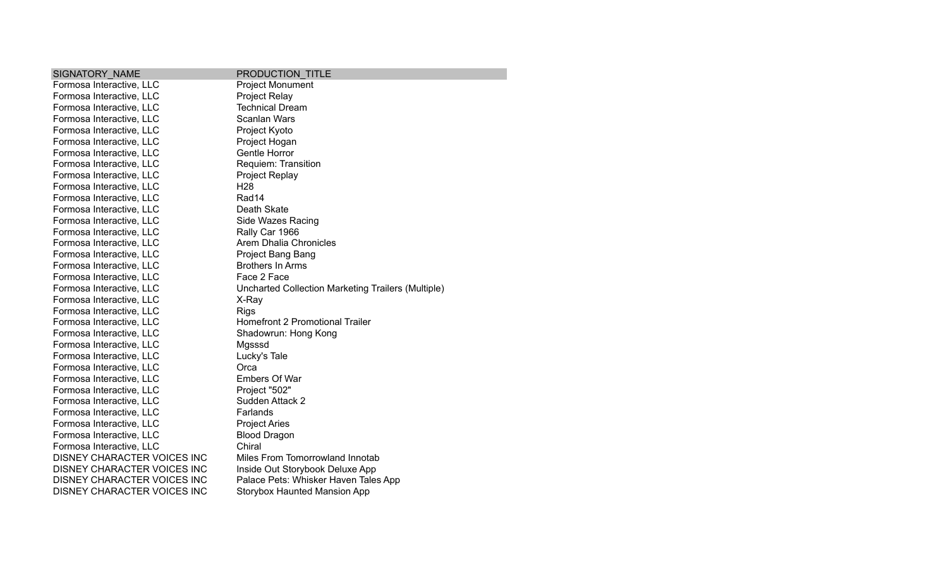| SIGNATORY NAME                     | PRODUCTION TITLE                                   |
|------------------------------------|----------------------------------------------------|
| Formosa Interactive, LLC           | <b>Project Monument</b>                            |
| Formosa Interactive, LLC           | Project Relay                                      |
| Formosa Interactive, LLC           | <b>Technical Dream</b>                             |
| Formosa Interactive, LLC           | <b>Scanlan Wars</b>                                |
| Formosa Interactive, LLC           | Project Kyoto                                      |
| Formosa Interactive, LLC           | Project Hogan                                      |
| Formosa Interactive, LLC           | Gentle Horror                                      |
| Formosa Interactive, LLC           | Requiem: Transition                                |
| Formosa Interactive, LLC           | Project Replay                                     |
| Formosa Interactive, LLC           | H <sub>28</sub>                                    |
| Formosa Interactive, LLC           | Rad14                                              |
| Formosa Interactive, LLC           | Death Skate                                        |
| Formosa Interactive, LLC           | Side Wazes Racing                                  |
| Formosa Interactive, LLC           | Rally Car 1966                                     |
| Formosa Interactive, LLC           | Arem Dhalia Chronicles                             |
| Formosa Interactive, LLC           | Project Bang Bang                                  |
| Formosa Interactive, LLC           | <b>Brothers In Arms</b>                            |
| Formosa Interactive, LLC           | Face 2 Face                                        |
| Formosa Interactive, LLC           | Uncharted Collection Marketing Trailers (Multiple) |
| Formosa Interactive, LLC           | X-Ray                                              |
| Formosa Interactive, LLC           | <b>Rigs</b>                                        |
| Formosa Interactive, LLC           | <b>Homefront 2 Promotional Trailer</b>             |
| Formosa Interactive, LLC           | Shadowrun: Hong Kong                               |
| Formosa Interactive, LLC           | Mgsssd                                             |
| Formosa Interactive, LLC           | Lucky's Tale                                       |
| Formosa Interactive, LLC           | Orca                                               |
| Formosa Interactive, LLC           | <b>Embers Of War</b>                               |
| Formosa Interactive, LLC           | Project "502"                                      |
| Formosa Interactive, LLC           | Sudden Attack 2                                    |
| Formosa Interactive, LLC           | Farlands                                           |
| Formosa Interactive, LLC           | <b>Project Aries</b>                               |
| Formosa Interactive, LLC           | <b>Blood Dragon</b>                                |
| Formosa Interactive, LLC           | Chiral                                             |
| DISNEY CHARACTER VOICES INC        | Miles From Tomorrowland Innotab                    |
| DISNEY CHARACTER VOICES INC        | Inside Out Storybook Deluxe App                    |
| DISNEY CHARACTER VOICES INC        | Palace Pets: Whisker Haven Tales App               |
| <b>DISNEY CHARACTER VOICES INC</b> | <b>Storybox Haunted Mansion App</b>                |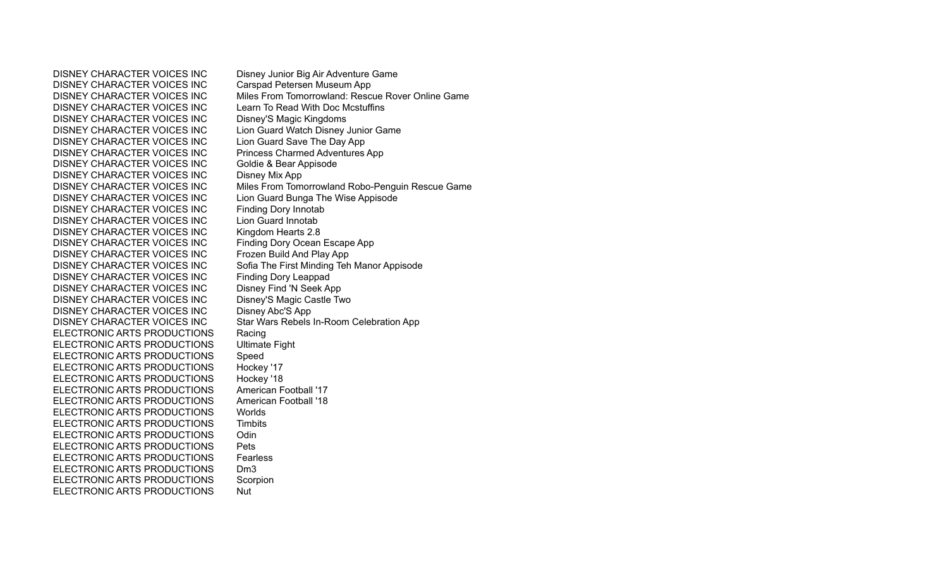DISNEY CHARACTER VOICES INC Carspad Petersen Museum App DISNEY CHARACTER VOICES INC Learn To Read With Doc Mcstuffins DISNEY CHARACTER VOICES INC Disney'S Magic Kingdoms DISNEY CHARACTER VOICES INC Lion Guard Watch Disney Junior Game DISNEY CHARACTER VOICES INC Lion Guard Save The Day App DISNEY CHARACTER VOICES INC Princess Charmed Adventures App DISNEY CHARACTER VOICES INC Goldie & Bear Appisode DISNEY CHARACTER VOICES INC Disney Mix App DISNEY CHARACTER VOICES INC Lion Guard Bunga The Wise Appisode DISNEY CHARACTER VOICES INC Finding Dory Innotab DISNEY CHARACTER VOICES INC Lion Guard Innotab DISNEY CHARACTER VOICES INC Kingdom Hearts 2.8 DISNEY CHARACTER VOICES INC Finding Dory Ocean Escape App DISNEY CHARACTER VOICES INC Frozen Build And Play App DISNEY CHARACTER VOICES INC Finding Dory Leappad DISNEY CHARACTER VOICES INC Disney Find 'N Seek App DISNEY CHARACTER VOICES INC Disney'S Magic Castle Two DISNEY CHARACTER VOICES INC Disney Abc'S App ELECTRONIC ARTS PRODUCTIONS Racing ELECTRONIC ARTS PRODUCTIONS Ultimate Fight ELECTRONIC ARTS PRODUCTIONS Speed ELECTRONIC ARTS PRODUCTIONS Hockey '17 ELECTRONIC ARTS PRODUCTIONS Hockey '18 ELECTRONIC ARTS PRODUCTIONS American Football '17 ELECTRONIC ARTS PRODUCTIONS American Football '18 ELECTRONIC ARTS PRODUCTIONS Worlds ELECTRONIC ARTS PRODUCTIONS Timbits ELECTRONIC ARTS PRODUCTIONS Odin ELECTRONIC ARTS PRODUCTIONS Pets ELECTRONIC ARTS PRODUCTIONS Fearless ELECTRONIC ARTS PRODUCTIONS Dm3 ELECTRONIC ARTS PRODUCTIONS Scorpion ELECTRONIC ARTS PRODUCTIONS Nut

DISNEY CHARACTER VOICES INC Disney Junior Big Air Adventure Game DISNEY CHARACTER VOICES INC Miles From Tomorrowland: Rescue Rover Online Game DISNEY CHARACTER VOICES INC Miles From Tomorrowland Robo-Penguin Rescue Game DISNEY CHARACTER VOICES INC Sofia The First Minding Teh Manor Appisode DISNEY CHARACTER VOICES INC Star Wars Rebels In-Room Celebration App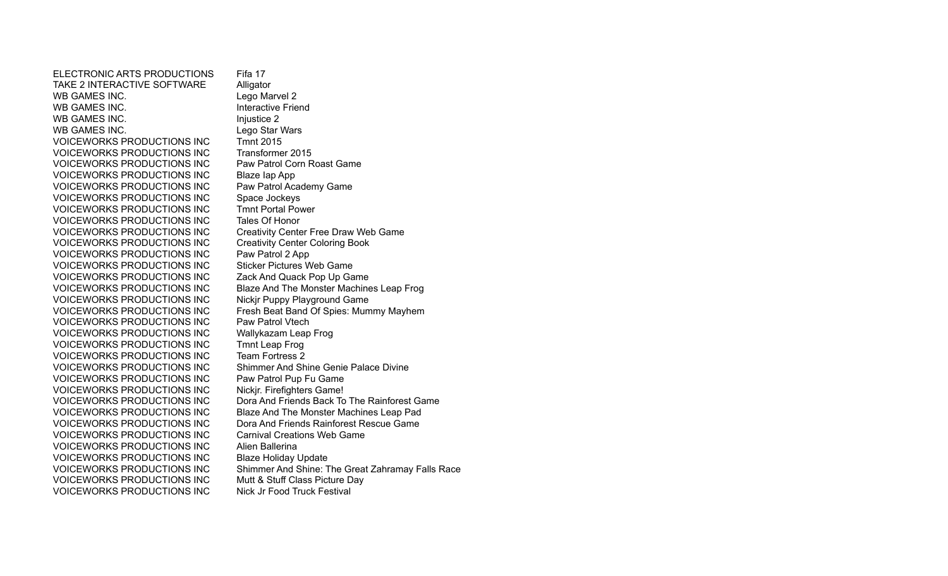ELECTRONIC ARTS PRODUCTIONS Fifa 17 TAKE 2 INTERACTIVE SOFTWARE Alligator WB GAMES INC. Lego Marvel 2 WB GAMES INC. **Interactive Friend** WB GAMES INC. Injustice 2 WB GAMES INC. Lego Star Wars VOICEWORKS PRODUCTIONS INC Tmnt 2015 VOICEWORKS PRODUCTIONS INC Transformer 2015 VOICEWORKS PRODUCTIONS INC Paw Patrol Corn Roast Game VOICEWORKS PRODUCTIONS INC Blaze Iap App VOICEWORKS PRODUCTIONS INC Paw Patrol Academy Game VOICEWORKS PRODUCTIONS INC Space Jockeys VOICEWORKS PRODUCTIONS INC Tmnt Portal Power VOICEWORKS PRODUCTIONS INC Tales Of Honor VOICEWORKS PRODUCTIONS INC Creativity Center Free Draw Web Game VOICEWORKS PRODUCTIONS INC Creativity Center Coloring Book VOICEWORKS PRODUCTIONS INC Paw Patrol 2 App VOICEWORKS PRODUCTIONS INC Sticker Pictures Web Game VOICEWORKS PRODUCTIONS INC Zack And Quack Pop Up Game VOICEWORKS PRODUCTIONS INC VOICEWORKS PRODUCTIONS INC Paw Patrol Vtech VOICEWORKS PRODUCTIONS INC Wallykazam Leap Frog VOICEWORKS PRODUCTIONS INC Tmnt Leap Frog VOICEWORKS PRODUCTIONS INC Team Fortress 2 VOICEWORKS PRODUCTIONS INC Shimmer And Shine Genie Palace Divine VOICEWORKS PRODUCTIONS INC Paw Patrol Pup Fu Game VOICEWORKS PRODUCTIONS INC Nickir. Firefighters Game! VOICEWORKS PRODUCTIONS INC Dora And Friends Rainforest Rescue Game VOICEWORKS PRODUCTIONS INC Carnival Creations Web Game VOICEWORKS PRODUCTIONS INC Alien Ballerina VOICEWORKS PRODUCTIONS INC Blaze Holiday Update VOICEWORKS PRODUCTIONS INC Mutt & Stuff Class Picture Day VOICEWORKS PRODUCTIONS INC Nick Jr Food Truck Festival

VOICEWORKS PRODUCTIONS INC<br>
VOICEWORKS PRODUCTIONS INC<br>
Nickir Puppy Playground Game<br>
Some Denter Machines Leap Frog VOICEWORKS PRODUCTIONS INC Fresh Beat Band Of Spies: Mummy Mayhem VOICEWORKS PRODUCTIONS INC Dora And Friends Back To The Rainforest Game VOICEWORKS PRODUCTIONS INC Blaze And The Monster Machines Leap Pad VOICEWORKS PRODUCTIONS INC Shimmer And Shine: The Great Zahramay Falls Race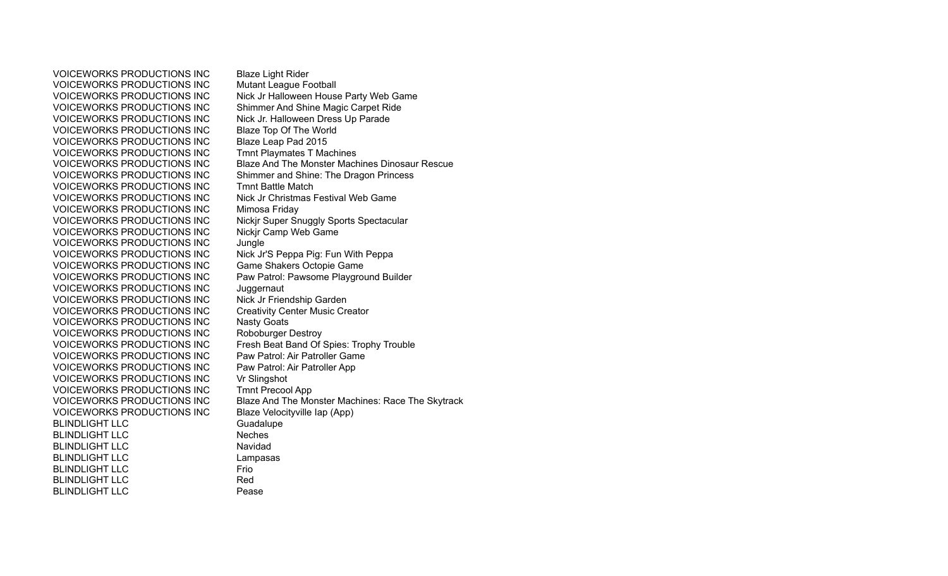VOICEWORKS PRODUCTIONS INC<br>
VOICEWORKS PRODUCTIONS INC Mutant League Football VOICEWORKS PRODUCTIONS INC VOICEWORKS PRODUCTIONS INC Shimmer And Shine Magic Carpet Ride VOICEWORKS PRODUCTIONS INC Nick Jr. Halloween Dress Up Parade VOICEWORKS PRODUCTIONS INC Blaze Top Of The World VOICEWORKS PRODUCTIONS INC Blaze Leap Pad 2015 VOICEWORKS PRODUCTIONS INC Tmnt Playmates T Machines VOICEWORKS PRODUCTIONS INC Tmnt Battle Match VOICEWORKS PRODUCTIONS INC Nick Jr Christmas Festival Web Game VOICEWORKS PRODUCTIONS INC Mimosa Friday VOICEWORKS PRODUCTIONS INC<br>
VOICEWORKS PRODUCTIONS INC Nickir Camp Web Game VOICEWORKS PRODUCTIONS INC VOICEWORKS PRODUCTIONS INC Jungle VOICEWORKS PRODUCTIONS INC Nick Jr'S Peppa Pig: Fun With Peppa VOICEWORKS PRODUCTIONS INC Game Shakers Octopie Game VOICEWORKS PRODUCTIONS INC<br>
VOICEWORKS PRODUCTIONS INC Nick Jr Friendship Garden VOICEWORKS PRODUCTIONS INC VOICEWORKS PRODUCTIONS INC Creativity Center Music Creator VOICEWORKS PRODUCTIONS INC Nasty Goats VOICEWORKS PRODUCTIONS INC Roboburger Destroy VOICEWORKS PRODUCTIONS INC Paw Patrol: Air Patroller Game VOICEWORKS PRODUCTIONS INC Paw Patrol: Air Patroller App VOICEWORKS PRODUCTIONS INC Vr Slingshot VOICEWORKS PRODUCTIONS INC Tmnt Precool App VOICEWORKS PRODUCTIONS INC Blaze Velocityville Iap (App) BLINDLIGHT LLC Guadalupe BLINDLIGHT LLC Neches BLINDLIGHT LLC Navidad BLINDLIGHT LLC Lampasas BLINDLIGHT LLC Frio BLINDLIGHT LLC Red BLINDLIGHT LLC Pease

VOICEWORKS PRODUCTIONS INC Nick Jr Halloween House Party Web Game VOICEWORKS PRODUCTIONS INC Blaze And The Monster Machines Dinosaur Rescue VOICEWORKS PRODUCTIONS INC Shimmer and Shine: The Dragon Princess VOICEWORKS PRODUCTIONS INC Paw Patrol: Pawsome Playground Builder VOICEWORKS PRODUCTIONS INC Fresh Beat Band Of Spies: Trophy Trouble VOICEWORKS PRODUCTIONS INC Blaze And The Monster Machines: Race The Skytrack